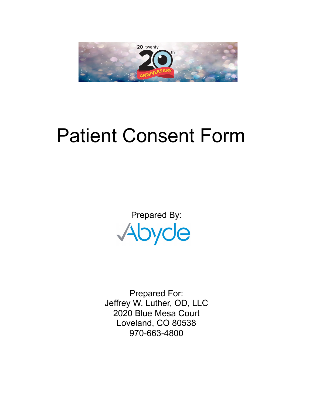

# Patient Consent Form

Prepared By: Abyde

Prepared For: Jeffrey W. Luther, OD, LLC 2020 Blue Mesa Court Loveland, CO 80538 970-663-4800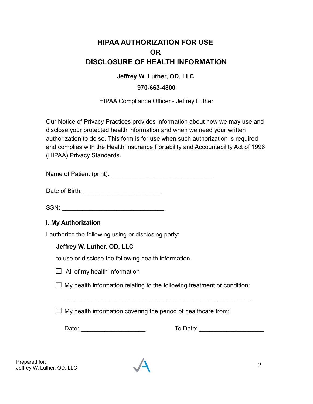# **HIPAA AUTHORIZATION FOR USE OR DISCLOSURE OF HEALTH INFORMATION**

### **Jeffrey W. Luther, OD, LLC**

#### **970-663-4800**

HIPAA Compliance Officer - Jeffrey Luther

Our Notice of Privacy Practices provides information about how we may use and disclose your protected health information and when we need your written authorization to do so. This form is for use when such authorization is required and complies with the Health Insurance Portability and Accountability Act of 1996 (HIPAA) Privacy Standards.

Name of Patient (print):  $\blacksquare$ 

Date of Birth: **with** and the set of  $\mathbf{D}$  and  $\mathbf{D}$  and  $\mathbf{D}$  and  $\mathbf{D}$  and  $\mathbf{D}$  and  $\mathbf{D}$  and  $\mathbf{D}$  and  $\mathbf{D}$  and  $\mathbf{D}$  and  $\mathbf{D}$  and  $\mathbf{D}$  and  $\mathbf{D}$  and  $\mathbf{D}$  and  $\mathbf{D}$  and  $\math$ 

SSN: \_\_\_\_\_\_\_\_\_\_\_\_\_\_\_\_\_\_\_\_\_\_\_\_\_\_\_\_\_\_

# **I. My Authorization**

I authorize the following using or disclosing party:

#### **Jeffrey W. Luther, OD, LLC**

to use or disclose the following health information.

 $\Box$  All of my health information

 $\Box$  My health information relating to the following treatment or condition:

\_\_\_\_\_\_\_\_\_\_\_\_\_\_\_\_\_\_\_\_\_\_\_\_\_\_\_\_\_\_\_\_\_\_\_\_\_\_\_\_\_\_\_\_\_\_\_\_\_\_\_\_\_\_\_

 $\Box$  My health information covering the period of healthcare from:

Date: \_\_\_\_\_\_\_\_\_\_\_\_\_\_\_\_\_\_\_ To Date: \_\_\_\_\_\_\_\_\_\_\_\_\_\_\_\_\_\_\_

Prepared for: The pared for. 2<br>Jeffrey W. Luther, OD, LLC 2

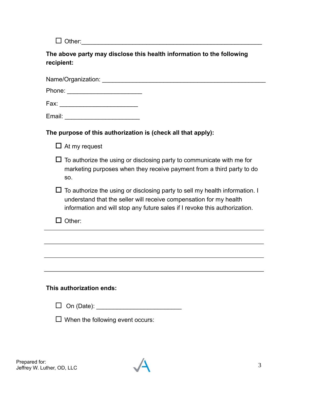Other:\_\_\_\_\_\_\_\_\_\_\_\_\_\_\_\_\_\_\_\_\_\_\_\_\_\_\_\_\_\_\_\_\_\_\_\_\_\_\_\_\_\_\_\_\_\_\_\_\_\_\_\_\_

**The above party may disclose this health information to the following recipient:**

Name/Organization: \_\_\_\_\_\_\_\_\_\_\_\_\_\_\_\_\_\_\_\_\_\_\_\_\_\_\_\_\_\_\_\_\_\_\_\_\_\_\_\_\_\_\_\_\_\_\_\_

| Phone: |  |  |  |  |  |
|--------|--|--|--|--|--|
|        |  |  |  |  |  |
|        |  |  |  |  |  |

Fax: \_\_\_\_\_\_\_\_\_\_\_\_\_\_\_\_\_\_\_\_\_\_\_

| Email: |  |
|--------|--|
|        |  |

# **The purpose of this authorization is (check all that apply):**

- $\Box$  At my request
- $\Box$  To authorize the using or disclosing party to communicate with me for marketing purposes when they receive payment from a third party to do so.
- $\Box$  To authorize the using or disclosing party to sell my health information. I understand that the seller will receive compensation for my health information and will stop any future sales if I revoke this authorization.
- $\Box$  Other:

#### **This authorization ends:**

| $\Box$ On (Date): |
|-------------------|
|-------------------|

 $\Box$  When the following event occurs:

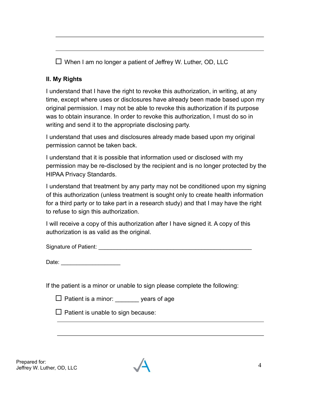|  |  |  | $\square$ When I am no longer a patient of Jeffrey W. Luther, OD, LLC |  |
|--|--|--|-----------------------------------------------------------------------|--|
|  |  |  |                                                                       |  |

# **II. My Rights**

I understand that I have the right to revoke this authorization, in writing, at any time, except where uses or disclosures have already been made based upon my original permission. I may not be able to revoke this authorization if its purpose was to obtain insurance. In order to revoke this authorization, I must do so in writing and send it to the appropriate disclosing party.

I understand that uses and disclosures already made based upon my original permission cannot be taken back.

I understand that it is possible that information used or disclosed with my permission may be re-disclosed by the recipient and is no longer protected by the HIPAA Privacy Standards.

I understand that treatment by any party may not be conditioned upon my signing of this authorization (unless treatment is sought only to create health information for a third party or to take part in a research study) and that I may have the right to refuse to sign this authorization.

I will receive a copy of this authorization after I have signed it. A copy of this authorization is as valid as the original.

Signature of Patient: **Example 2018** 

Date: \_\_\_\_\_\_\_\_\_\_\_\_\_\_\_\_\_\_\_

If the patient is a minor or unable to sign please complete the following:

| $\Box$ Patient is a minor: | years of age |
|----------------------------|--------------|
|                            |              |

 $\Box$  Patient is unable to sign because:

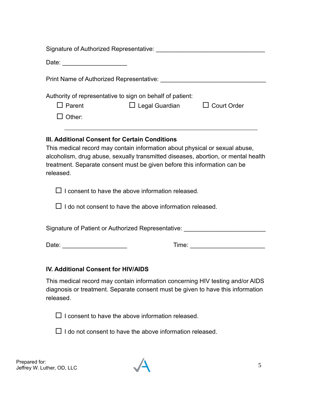| Signature of Authorized Representative: National Authority of Authorized Representative:                                                                                                                                                                                                                    |                                          |  |  |  |  |
|-------------------------------------------------------------------------------------------------------------------------------------------------------------------------------------------------------------------------------------------------------------------------------------------------------------|------------------------------------------|--|--|--|--|
| Date: ________________________                                                                                                                                                                                                                                                                              |                                          |  |  |  |  |
|                                                                                                                                                                                                                                                                                                             |                                          |  |  |  |  |
| Authority of representative to sign on behalf of patient:                                                                                                                                                                                                                                                   |                                          |  |  |  |  |
| $\Box$ Parent                                                                                                                                                                                                                                                                                               | $\Box$ Legal Guardian $\Box$ Court Order |  |  |  |  |
| $\Box$ Other:                                                                                                                                                                                                                                                                                               |                                          |  |  |  |  |
| III. Additional Consent for Certain Conditions<br>This medical record may contain information about physical or sexual abuse,<br>alcoholism, drug abuse, sexually transmitted diseases, abortion, or mental health<br>treatment. Separate consent must be given before this information can be<br>released. |                                          |  |  |  |  |
| $\Box$ I consent to have the above information released.<br>$\Box$ I do not consent to have the above information released.                                                                                                                                                                                 |                                          |  |  |  |  |
| Signature of Patient or Authorized Representative:                                                                                                                                                                                                                                                          |                                          |  |  |  |  |
|                                                                                                                                                                                                                                                                                                             |                                          |  |  |  |  |

#### **IV. Additional Consent for HIV/AIDS**

This medical record may contain information concerning HIV testing and/or AIDS diagnosis or treatment. Separate consent must be given to have this information released.

 $\square$  I consent to have the above information released.

 $\square$  I do not consent to have the above information released.